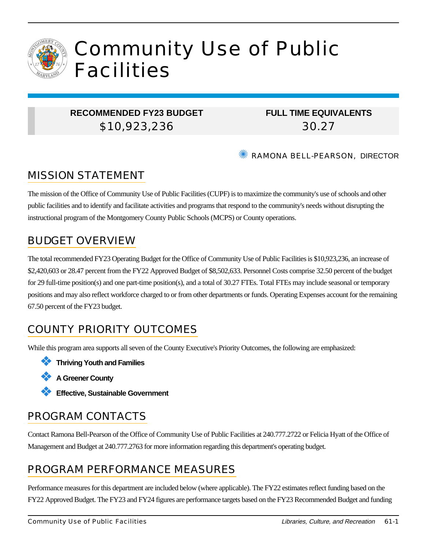

# Community Use of Public Facilities

#### **RECOMMENDED FY23 BUDGET** \$10,923,236

### **FULL TIME EQUIVALENTS** 30.27

✺ RAMONA BELL-PEARSON, DIRECTOR

### MISSION STATEMENT

The mission of the Office of Community Use of Public Facilities (CUPF) is to maximize the community's use of schools and other public facilities and to identify and facilitate activities and programs that respond to the community's needs without disrupting the instructional program of the Montgomery County Public Schools (MCPS) or County operations.

### BUDGET OVERVIEW

The total recommended FY23 Operating Budget for the Office of Community Use of Public Facilities is \$10,923,236, an increase of \$2,420,603 or 28.47 percent from the FY22 Approved Budget of \$8,502,633. Personnel Costs comprise 32.50 percent of the budget for 29 full-time position(s) and one part-time position(s), and a total of 30.27 FTEs. Total FTEs may include seasonal or temporary positions and may also reflect workforce charged to or from other departments or funds. Operating Expenses account for the remaining 67.50 percent of the FY23 budget.

## COUNTY PRIORITY OUTCOMES

While this program area supports all seven of the County Executive's Priority Outcomes, the following are emphasized:

❖ **Thriving Youth and Families**

- ❖ **A Greener County**
- ❖ **Effective, Sustainable Government**

### PROGRAM CONTACTS

Contact Ramona Bell-Pearson of the Office of Community Use of Public Facilities at 240.777.2722 or Felicia Hyatt of the Office of Management and Budget at 240.777.2763 for more information regarding this department's operating budget.

### PROGRAM PERFORMANCE MEASURES

Performance measures for this department are included below (where applicable). The FY22 estimates reflect funding based on the FY22 Approved Budget. The FY23 and FY24 figures are performance targets based on the FY23 Recommended Budget and funding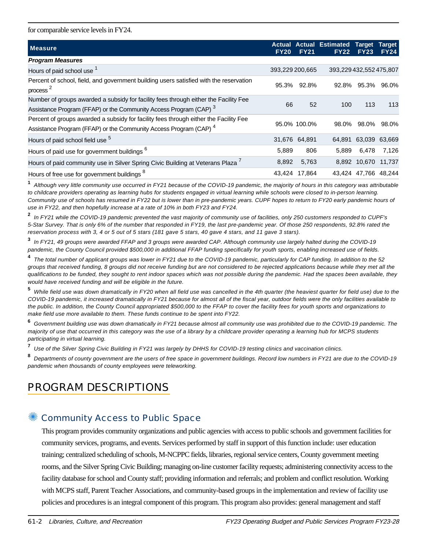for comparable service levels in FY24.

| <b>Measure</b>                                                                                                 | <b>Actual</b><br><b>FY20</b> | <b>FY21</b>   | <b>Actual Estimated</b><br><b>FY22</b> | <b>Target</b><br><b>FY23</b> | <b>Target</b><br><b>FY24</b> |
|----------------------------------------------------------------------------------------------------------------|------------------------------|---------------|----------------------------------------|------------------------------|------------------------------|
| <b>Program Measures</b>                                                                                        |                              |               |                                        |                              |                              |
| Hours of paid school use 1                                                                                     | 393,229 200,665              |               | 393,229 432,552 475,807                |                              |                              |
| Percent of school, field, and government building users satisfied with the reservation<br>process <sup>2</sup> | 95.3%                        | 92.8%         | 92.8%                                  | 95.3%                        | 96.0%                        |
| Number of groups awarded a subsidy for facility fees through either the Facility Fee                           | 66                           | 52            | 100                                    | 113                          | 113                          |
| Assistance Program (FFAP) or the Community Access Program (CAP) 3                                              |                              |               |                                        |                              |                              |
| Percent of groups awarded a subsidy for facility fees through either the Facility Fee                          |                              | 95.0% 100.0%  | 98.0%                                  | 98.0% 98.0%                  |                              |
| Assistance Program (FFAP) or the Community Access Program (CAP) <sup>4</sup>                                   |                              |               |                                        |                              |                              |
| Hours of paid school field use <sup>5</sup>                                                                    |                              | 31,676 64,891 | 64,891                                 | 63,039 63,669                |                              |
| Hours of paid use for government buildings <sup>6</sup>                                                        | 5.889                        | 806           | 5,889                                  | 6,478                        | 7,126                        |
| Hours of paid community use in Silver Spring Civic Building at Veterans Plaza                                  | 8,892                        | 5,763         |                                        | 8,892 10,670 11,737          |                              |
| Hours of free use for government buildings <sup>8</sup>                                                        | 43.424                       | 17.864        |                                        | 43.424 47.766 48.244         |                              |

**1** Although very little community use occurred in FY21 because of the COVID-19 pandemic, the majority of hours in this category was attributable to childcare providers operating as learning hubs for students engaged in virtual learning while schools were closed to in-person learning. Community use of schools has resumed in FY22 but is lower than in pre-pandemic years. CUPF hopes to return to FY20 early pandemic hours of use in FY22, and then hopefully increase at a rate of 10% in both FY23 and FY24.

**2** In FY21 while the COVID-19 pandemic prevented the vast majority of community use of facilities, only 250 customers responded to CUPF's 5-Star Survey. That is only 6% of the number that responded in FY19, the last pre-pandemic year. Of those 250 respondents, 92.8% rated the reservation process with 3, 4 or 5 out of 5 stars (181 gave 5 stars, 40 gave 4 stars, and 11 gave 3 stars).

**3** In FY21, 49 groups were awarded FFAP and 3 groups were awarded CAP. Although community use largely halted during the COVID-19 pandemic, the County Council provided \$500,000 in additional FFAP funding specifically for youth sports, enabling increased use of fields.

**4** The total number of applicant groups was lower in FY21 due to the COVID-19 pandemic, particularly for CAP funding. In addition to the 52 groups that received funding, 8 groups did not receive funding but are not considered to be rejected applications because while they met all the qualifications to be funded, they sought to rent indoor spaces which was not possible during the pandemic. Had the spaces been available, they would have received funding and will be eligible in the future.

**5** While field use was down dramatically in FY20 when all field use was cancelled in the 4th quarter (the heaviest quarter for field use) due to the COVID-19 pandemic, it increased dramatically in FY21 because for almost all of the fiscal year, outdoor fields were the only facilities available to the public. In addition, the County Council appropriated \$500,000 to the FFAP to cover the facility fees for youth sports and organizations to make field use more available to them. These funds continue to be spent into FY22.

**6** Government building use was down dramatically in FY21 because almost all community use was prohibited due to the COVID-19 pandemic. The majority of use that occurred in this category was the use of a library by a childcare provider operating a learning hub for MCPS students participating in virtual learning.

**7** Use of the Silver Spring Civic Building in FY21 was largely by DHHS for COVID-19 testing clinics and vaccination clinics.

**8** Departments of county government are the users of free space in government buildings. Record low numbers in FY21 are due to the COVID-19 pandemic when thousands of county employees were teleworking.

### PROGRAM DESCRIPTIONS

#### Community Access to Public Space

This program provides community organizations and public agencies with access to public schools and government facilities for community services, programs, and events. Services performed by staff in support of this function include: user education training; centralized scheduling of schools, M-NCPPC fields, libraries, regional service centers, County government meeting rooms, and the Silver Spring Civic Building; managing on-line customer facility requests; administering connectivity access to the facility database for school and County staff; providing information and referrals; and problem and conflict resolution. Working with MCPS staff, Parent Teacher Associations, and community-based groups in the implementation and review of facility use policies and procedures is an integral component of this program. This program also provides: general management and staff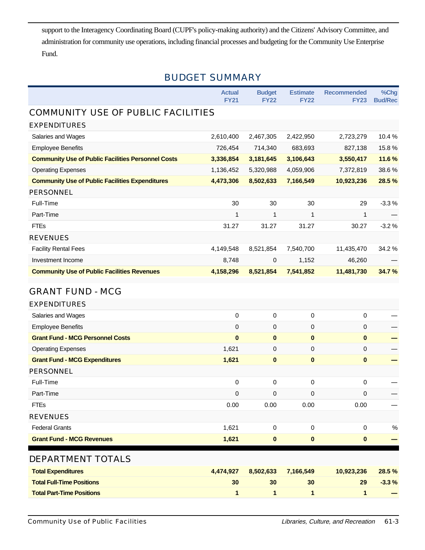support to the Interagency Coordinating Board (CUPF's policy-making authority) and the Citizens' Advisory Committee, and administration for community use operations, including financial processes and budgeting for the Community Use Enterprise Fund.

#### BUDGET SUMMARY

|                                                           | <b>Actual</b><br><b>FY21</b> | <b>Budget</b><br><b>FY22</b> | <b>Estimate</b><br><b>FY22</b> | <b>Recommended</b><br><b>FY23</b> | %Chg<br><b>Bud/Rec</b> |
|-----------------------------------------------------------|------------------------------|------------------------------|--------------------------------|-----------------------------------|------------------------|
| COMMUNITY USE OF PUBLIC FACILITIES                        |                              |                              |                                |                                   |                        |
| <b>EXPENDITURES</b>                                       |                              |                              |                                |                                   |                        |
| Salaries and Wages                                        | 2,610,400                    | 2,467,305                    | 2,422,950                      | 2,723,279                         | 10.4%                  |
| <b>Employee Benefits</b>                                  | 726,454                      | 714,340                      | 683,693                        | 827,138                           | 15.8%                  |
| <b>Community Use of Public Facilities Personnel Costs</b> | 3,336,854                    | 3,181,645                    | 3,106,643                      | 3,550,417                         | 11.6%                  |
| <b>Operating Expenses</b>                                 | 1,136,452                    | 5,320,988                    | 4,059,906                      | 7,372,819                         | 38.6%                  |
| <b>Community Use of Public Facilities Expenditures</b>    | 4,473,306                    | 8,502,633                    | 7,166,549                      | 10,923,236                        | 28.5%                  |
| <b>PERSONNEL</b>                                          |                              |                              |                                |                                   |                        |
| Full-Time                                                 | 30                           | 30                           | 30                             | 29                                | $-3.3%$                |
| Part-Time                                                 | 1                            | 1                            | 1                              | 1                                 |                        |
| <b>FTEs</b>                                               | 31.27                        | 31.27                        | 31.27                          | 30.27                             | $-3.2%$                |
| <b>REVENUES</b>                                           |                              |                              |                                |                                   |                        |
| <b>Facility Rental Fees</b>                               | 4,149,548                    | 8,521,854                    | 7,540,700                      | 11,435,470                        | 34.2 %                 |
| Investment Income                                         | 8,748                        | 0                            | 1,152                          | 46,260                            |                        |
| <b>Community Use of Public Facilities Revenues</b>        | 4,158,296                    | 8,521,854                    | 7,541,852                      | 11,481,730                        | 34.7%                  |
| <b>GRANT FUND - MCG</b>                                   |                              |                              |                                |                                   |                        |
| <b>EXPENDITURES</b>                                       |                              |                              |                                |                                   |                        |
| Salaries and Wages                                        | $\mathbf 0$                  | 0                            | $\pmb{0}$                      | 0                                 |                        |
| <b>Employee Benefits</b>                                  | 0                            | 0                            | $\mathbf 0$                    | 0                                 |                        |
| <b>Grant Fund - MCG Personnel Costs</b>                   | $\bf{0}$                     | $\bf{0}$                     | $\mathbf 0$                    | $\mathbf{0}$                      |                        |
| <b>Operating Expenses</b>                                 | 1,621                        | 0                            | $\mathbf 0$                    | 0                                 |                        |
| <b>Grant Fund - MCG Expenditures</b>                      | 1,621                        | $\bf{0}$                     | $\pmb{0}$                      | $\bf{0}$                          |                        |
| PERSONNEL                                                 |                              |                              |                                |                                   |                        |
| Full-Time                                                 | $\mathbf 0$                  | 0                            | $\pmb{0}$                      | 0                                 |                        |
| Part-Time                                                 | 0                            | 0                            | $\pmb{0}$                      | 0                                 |                        |
| <b>FTEs</b>                                               | 0.00                         | 0.00                         | 0.00                           | 0.00                              |                        |
| <b>REVENUES</b>                                           |                              |                              |                                |                                   |                        |
| <b>Federal Grants</b>                                     | 1,621                        | 0                            | $\pmb{0}$                      | $\mathbf 0$                       | $\%$                   |
| <b>Grant Fund - MCG Revenues</b>                          | 1,621                        | 0                            | $\pmb{0}$                      | 0                                 |                        |
| DEPARTMENT TOTALS                                         |                              |                              |                                |                                   |                        |
| <b>Total Expenditures</b>                                 | 4,474,927                    | 8,502,633                    | 7,166,549                      | 10,923,236                        | 28.5 %                 |
| <b>Total Full-Time Positions</b>                          | 30                           | 30                           | 30                             | 29                                | $-3.3%$                |
| <b>Total Part-Time Positions</b>                          | 1                            | 1                            | 1                              | 1                                 |                        |
|                                                           |                              |                              |                                |                                   |                        |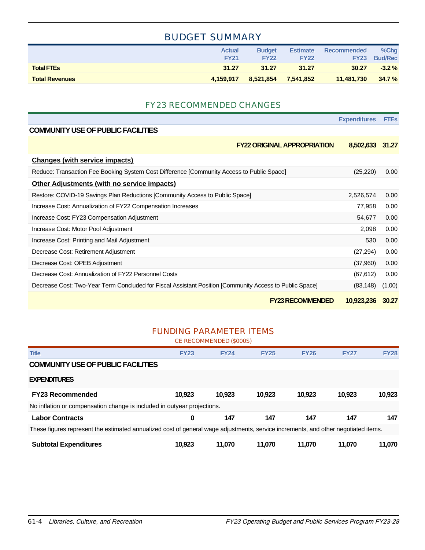#### BUDGET SUMMARY

|                       | <b>Actual</b><br><b>FY21</b> | <b>Budget</b><br><b>FY22</b> | <b>Estimate</b><br><b>FY22</b> | Recommended<br><b>FY23</b> | $%$ Chq<br><b>Bud/Rec</b> |
|-----------------------|------------------------------|------------------------------|--------------------------------|----------------------------|---------------------------|
| <b>Total FTEs</b>     | 31.27                        | 31.27                        | 31.27                          | 30.27                      | $-3.2%$                   |
| <b>Total Revenues</b> | 4.159.917                    | 8,521,854                    | 7,541,852                      | 11,481,730                 | 34.7%                     |

#### FY23 RECOMMENDED CHANGES

|                                                                                                         | <b>Expenditures</b> | <b>FTEs</b> |
|---------------------------------------------------------------------------------------------------------|---------------------|-------------|
| <b>COMMUNITY USE OF PUBLIC FACILITIES</b>                                                               |                     |             |
| <b>FY22 ORIGINAL APPROPRIATION</b>                                                                      | 8,502,633 31.27     |             |
| <b>Changes (with service impacts)</b>                                                                   |                     |             |
| Reduce: Transaction Fee Booking System Cost Difference [Community Access to Public Space]               | (25, 220)           | 0.00        |
| <b>Other Adjustments (with no service impacts)</b>                                                      |                     |             |
| Restore: COVID-19 Savings Plan Reductions [Community Access to Public Space]                            | 2,526,574           | 0.00        |
| Increase Cost: Annualization of FY22 Compensation Increases                                             | 77,958              | 0.00        |
| Increase Cost: FY23 Compensation Adjustment                                                             | 54,677              | 0.00        |
| Increase Cost: Motor Pool Adjustment                                                                    | 2,098               | 0.00        |
| Increase Cost: Printing and Mail Adjustment                                                             | 530                 | 0.00        |
| Decrease Cost: Retirement Adjustment                                                                    | (27, 294)           | 0.00        |
| Decrease Cost: OPEB Adjustment                                                                          | (37,960)            | 0.00        |
| Decrease Cost: Annualization of FY22 Personnel Costs                                                    | (67, 612)           | 0.00        |
| Decrease Cost: Two-Year Term Concluded for Fiscal Assistant Position [Community Access to Public Space] | (83, 148)           | (1.00)      |
| <b>FY23 RECOMMENDED</b>                                                                                 | 10,923,236          | 30.27       |

#### FUNDING PARAMETER ITEMS

| CE RECOMMENDED (\$000S)                                                                                                            |             |             |             |             |             |             |  |  |  |
|------------------------------------------------------------------------------------------------------------------------------------|-------------|-------------|-------------|-------------|-------------|-------------|--|--|--|
| <b>Title</b>                                                                                                                       | <b>FY23</b> | <b>FY24</b> | <b>FY25</b> | <b>FY26</b> | <b>FY27</b> | <b>FY28</b> |  |  |  |
| <b>COMMUNITY USE OF PUBLIC FACILITIES</b>                                                                                          |             |             |             |             |             |             |  |  |  |
| <b>EXPENDITURES</b>                                                                                                                |             |             |             |             |             |             |  |  |  |
| <b>FY23 Recommended</b>                                                                                                            | 10.923      | 10.923      | 10,923      | 10.923      | 10.923      | 10,923      |  |  |  |
| No inflation or compensation change is included in outyear projections.                                                            |             |             |             |             |             |             |  |  |  |
| <b>Labor Contracts</b>                                                                                                             | 0           | 147         | 147         | 147         | 147         | 147         |  |  |  |
| These figures represent the estimated annualized cost of general wage adjustments, service increments, and other negotiated items. |             |             |             |             |             |             |  |  |  |
| <b>Subtotal Expenditures</b>                                                                                                       | 10.923      | 11.070      | 11.070      | 11.070      | 11.070      | 11,070      |  |  |  |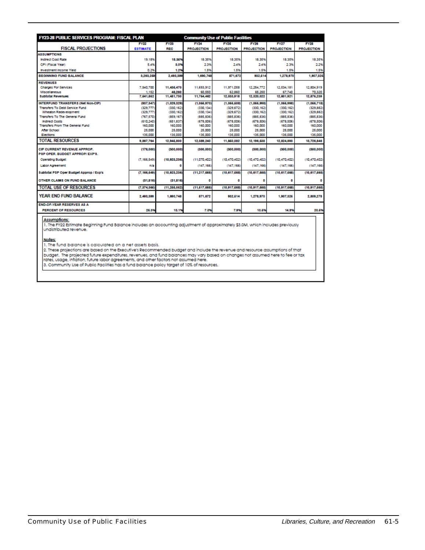| <b>FY23-28 PUBLIC SERVICES PROGRAM: FISCAL PLAN</b><br><b>Community Use of Public Facilities</b> |                 |               |                   |                   |                   |                   |                   |
|--------------------------------------------------------------------------------------------------|-----------------|---------------|-------------------|-------------------|-------------------|-------------------|-------------------|
|                                                                                                  | <b>FY22</b>     | <b>FY23</b>   | <b>FY24</b>       | <b>FY25</b>       | <b>FY28</b>       | <b>FY27</b>       | <b>FY28</b>       |
| <b>FISCAL PROJECTIONS</b>                                                                        | <b>ESTIMATE</b> | <b>REC</b>    | <b>PROJECTION</b> | <b>PROJECTION</b> | <b>PROJECTION</b> | <b>PROJECTION</b> | <b>PROJECTION</b> |
| <b>ASSUMPTIONS</b>                                                                               |                 |               |                   |                   |                   |                   |                   |
| <b>Indirect Cost Rate</b>                                                                        | 19.18%          | 18.35%        | 18.35%            | 18.35%            | 18.35%            | 18.35%            | 18.35%            |
| CPI (Fiscal Year)                                                                                | 5.4%            | 3.0%          | 2.3%              | 2.4%              | 2.4%              | 2.3%              | 2.2%              |
| <b>Investment Income Yield</b>                                                                   | 0.2%            | 1.2%          | 1.5%              | 1.5%              | 1.5%              | 1.5%              | 1.5%              |
| <b>BEGINNING FUND BALANCE</b>                                                                    | 3,283,258       | 2,483,389     | 1,890.748         | 871,872           | 832.614           | 1,278,970         | 1,807,326         |
| <b>REVENUES</b>                                                                                  |                 |               |                   |                   |                   |                   |                   |
| <b>Charges For Services</b>                                                                      | 7.540.700       | 11,435,470    | 11,693,912        | 11,971,058        | 12.254.772        | 12.534.181        | 12,804,919        |
| <b>Miscellaneous</b>                                                                             | 1.152           | 48,260        | 60,550            | 62,860            | 65,250            | 67,740            | 70,320            |
| <b>Subtotal Revenues</b>                                                                         | 7.541.852       | 11,481,730    | 11,754,482        | 12,033,918        | 12,320,022        | 12,601,921        | 12,876,239        |
| INTERFUND TRANSFERS (Net Non-CIP)                                                                | (937, 347)      | (1,029,329)   | (1,066,070)       | (1,066,608)       | (1,066,998)       | (1.066.998)       | (1,066,718)       |
| <b>Transfers To Debt Service Fund</b>                                                            | (329.77)        | (330, 162)    | (330.134)         | (329.672)         | (330, 162)        | (330.162)         | (329.882)         |
| Wheaton Redevelopment                                                                            | (329.777        | (330, 162)    | (330, 134)        | (329.672)         | (330, 162)        | (330.162)         | (329.882)         |
| <b>Transfers To The General Fund</b>                                                             | (767,570)       | (859,167)     | (885,836)         | (885,836)         | (885,836)         | (885,836)         | (885.836)         |
| <b>Indirect Costs</b>                                                                            | (610, 240)      | (651.837)     | (678,506)         | (678,506)         | (678,506)         | (678.506)         | (678.506)         |
| <b>Transfers From The General Fund</b>                                                           | 160,000         | 160,000       | 160,000           | 160,000           | 160,000           | 160,000           | 160,000           |
| After School                                                                                     | 25,000          | 25,000        | 25,000            | 25,000            | 25,000            | 25,000            | 25,000            |
| Elections                                                                                        | 135,000         | 135,000       | 135,000           | 135,000           | 135,000           | 135,000           | 135,000           |
| <b>TOTAL RESOURCES</b>                                                                           | 9,867.764       | 12,845,800    | 12,389,240        | 11,850,082        | 12.198.538        | 12,824,893        | 13,726,846        |
| <b>CIP CURRENT REVENUE APPROP.</b><br>PSP OPER, BUDGET APPROP/EXP'S,                             | (178,000)       | (300.000)     | (300.000)         | (300.000)         | (300,000          | (300,000)         | (300,000)         |
| <b>Operating Budget</b>                                                                          | (7.166.549)     | (10,923,238)  | (11.070.402)      | (10, 470, 402)    | (10, 470, 402)    | (10.470.402)      | (10, 470, 402)    |
| <b>Labor Agreement</b>                                                                           | n/a             | $\Omega$      | (147, 166)        | (147.166)         | (147, 166)        | (147.166)         | (147.166)         |
| Subtotal PSP Oper Budget Approp / Exp's                                                          | (7.166.549)     | (10,923,238)  | (11, 217, 688)    | (10.817.688)      | (10.817.688)      | (10.817, 688)     | (10, 817, 588)    |
| OTHER CLAIMS ON FUND BALANCE                                                                     | (31.816)        | (31, 816)     | ۰                 | 0                 |                   | n                 |                   |
| <b>TOTAL USE OF RESOURCES</b>                                                                    | (7.374.386)     | (11.266, 062) | (11,617,688)      | (10,917,688)      | (10,917,588)      | (10.917.688)      | (10.917,588)      |
| YEAR END FUND BALANCE                                                                            | 2,493,399       | 1,690,748     | 871,672           | 832, 514          | 1,278,970         | 1,907,326         | 2,809,278         |
| <b>END-OF-YEAR RESERVES AS A</b>                                                                 |                 |               |                   |                   |                   |                   |                   |
| <b>PERCENT OF RESOURCES</b>                                                                      | 26.3%           | 13.1%         | 7.0%              | 7.9%              | 10.6%             | 14.9%             | 20.6%             |

#### **Assumptions:**

1. The FY22 Estimate Beginning Fund Balance includes an accounting adjustment of approximately \$3.0M, which includes previously<br>undistributed revenue.

**Notes:** 

number<br>1. The fund balance is calculated on a net assets basis.<br>2. These projections are based on the Executive's Recommended budget and include the revenue and resource assumptions of that<br>2. These projected future expend